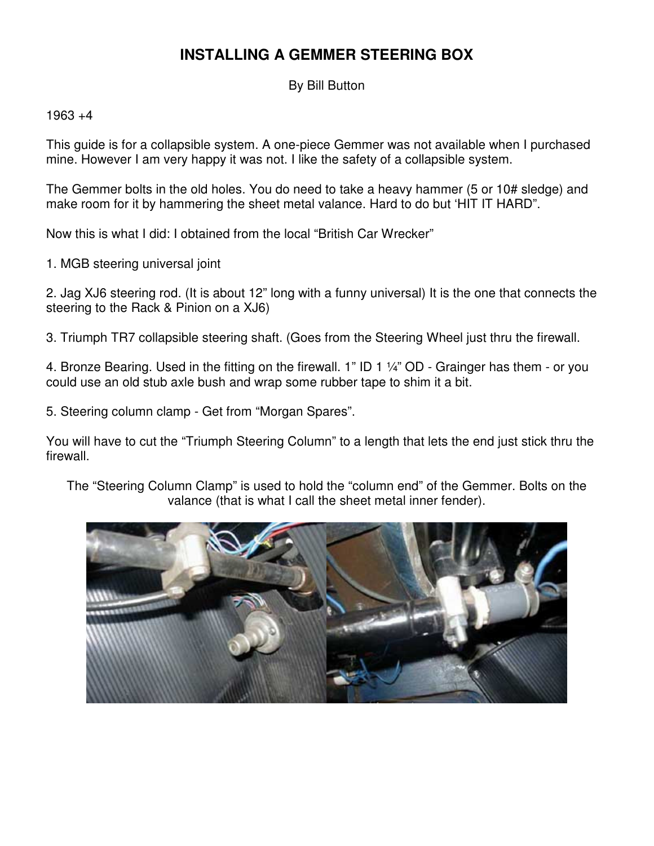## **INSTALLING A GEMMER STEERING BOX**

By Bill Button

 $1963 + 4$ 

This guide is for a collapsible system. A one-piece Gemmer was not available when I purchased mine. However I am very happy it was not. I like the safety of a collapsible system.

The Gemmer bolts in the old holes. You do need to take a heavy hammer (5 or 10# sledge) and make room for it by hammering the sheet metal valance. Hard to do but 'HIT IT HARD".

Now this is what I did: I obtained from the local "British Car Wrecker"

1. MGB steering universal joint

2. Jag XJ6 steering rod. (It is about 12" long with a funny universal) It is the one that connects the steering to the Rack & Pinion on a XJ6)

3. Triumph TR7 collapsible steering shaft. (Goes from the Steering Wheel just thru the firewall.

4. Bronze Bearing. Used in the fitting on the firewall. 1" ID 1 ¼" OD - Grainger has them - or you could use an old stub axle bush and wrap some rubber tape to shim it a bit.

5. Steering column clamp - Get from "Morgan Spares".

You will have to cut the "Triumph Steering Column" to a length that lets the end just stick thru the firewall.

The "Steering Column Clamp" is used to hold the "column end" of the Gemmer. Bolts on the valance (that is what I call the sheet metal inner fender).